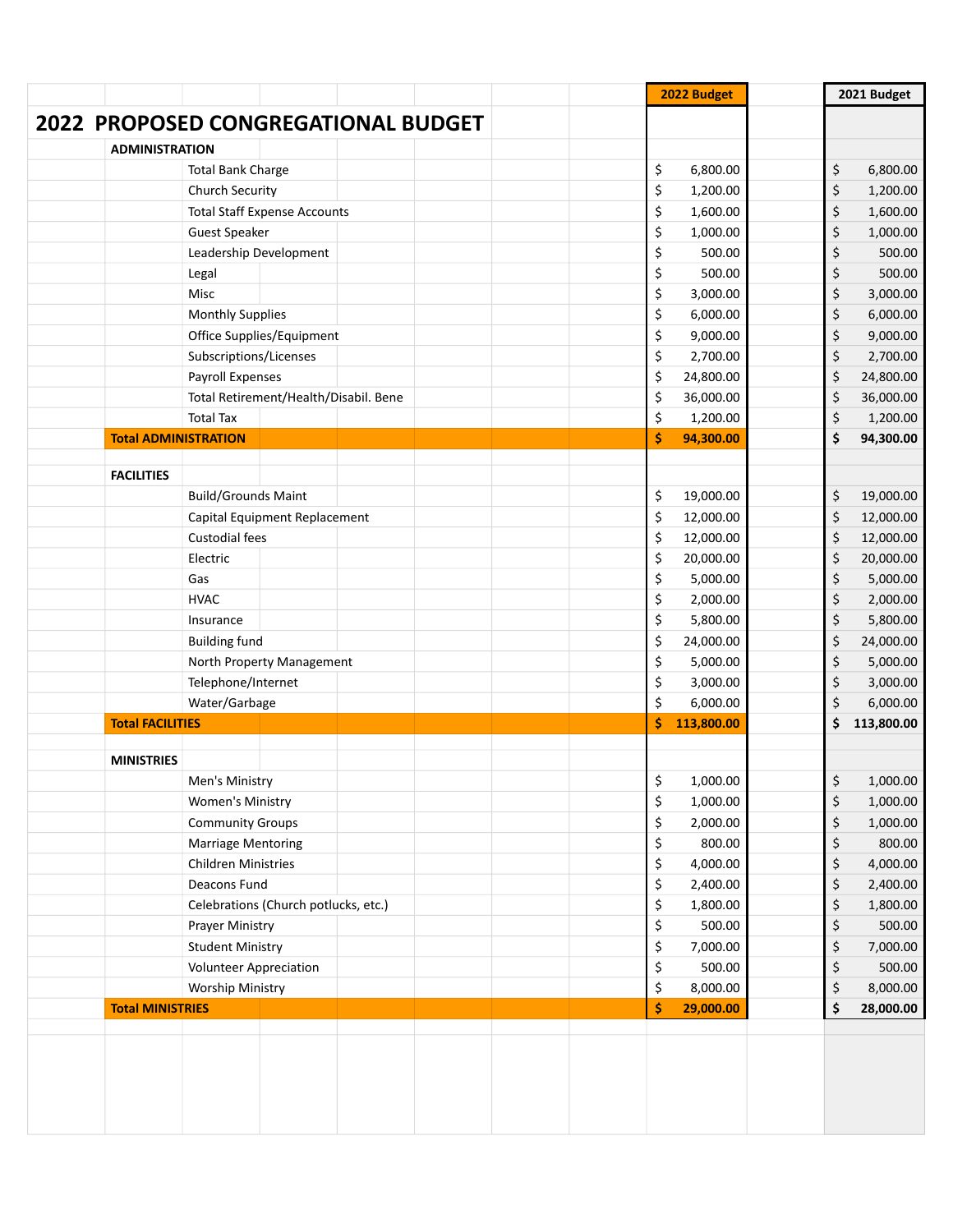| 2022 PROPOSED CONGREGATIONAL BUDGET<br><b>ADMINISTRATION</b><br>\$<br>6,800.00<br>\$<br>6,800.00<br><b>Total Bank Charge</b><br>\$<br>\$<br>Church Security<br>1,200.00<br>1,200.00<br>\$<br><b>Total Staff Expense Accounts</b><br>1,600.00<br>\$<br>1,600.00<br>\$<br>\$<br>1,000.00<br><b>Guest Speaker</b><br>1,000.00<br>\$<br>Leadership Development<br>500.00<br>\$<br>500.00<br>\$<br>500.00<br>\$<br>500.00<br>Legal<br>\$<br>Misc<br>3,000.00<br>\$<br>3,000.00<br>\$<br><b>Monthly Supplies</b><br>6,000.00<br>\$<br>6,000.00 |
|------------------------------------------------------------------------------------------------------------------------------------------------------------------------------------------------------------------------------------------------------------------------------------------------------------------------------------------------------------------------------------------------------------------------------------------------------------------------------------------------------------------------------------------|
|                                                                                                                                                                                                                                                                                                                                                                                                                                                                                                                                          |
|                                                                                                                                                                                                                                                                                                                                                                                                                                                                                                                                          |
|                                                                                                                                                                                                                                                                                                                                                                                                                                                                                                                                          |
|                                                                                                                                                                                                                                                                                                                                                                                                                                                                                                                                          |
|                                                                                                                                                                                                                                                                                                                                                                                                                                                                                                                                          |
|                                                                                                                                                                                                                                                                                                                                                                                                                                                                                                                                          |
|                                                                                                                                                                                                                                                                                                                                                                                                                                                                                                                                          |
|                                                                                                                                                                                                                                                                                                                                                                                                                                                                                                                                          |
|                                                                                                                                                                                                                                                                                                                                                                                                                                                                                                                                          |
|                                                                                                                                                                                                                                                                                                                                                                                                                                                                                                                                          |
| \$<br>9,000.00<br>Office Supplies/Equipment<br>9,000.00<br>\$                                                                                                                                                                                                                                                                                                                                                                                                                                                                            |
| \$<br>Subscriptions/Licenses<br>2,700.00<br>\$<br>2,700.00                                                                                                                                                                                                                                                                                                                                                                                                                                                                               |
| <b>Payroll Expenses</b><br>\$<br>24,800.00<br>24,800.00<br>\$                                                                                                                                                                                                                                                                                                                                                                                                                                                                            |
| \$<br>Total Retirement/Health/Disabil. Bene<br>36,000.00<br>\$<br>36,000.00                                                                                                                                                                                                                                                                                                                                                                                                                                                              |
| \$<br>1,200.00<br><b>Total Tax</b><br>1,200.00<br>\$                                                                                                                                                                                                                                                                                                                                                                                                                                                                                     |
| \$<br>94,300.00<br>94,300.00<br><b>Total ADMINISTRATION</b><br>\$                                                                                                                                                                                                                                                                                                                                                                                                                                                                        |
|                                                                                                                                                                                                                                                                                                                                                                                                                                                                                                                                          |
| <b>FACILITIES</b>                                                                                                                                                                                                                                                                                                                                                                                                                                                                                                                        |
| <b>Build/Grounds Maint</b><br>\$<br>19,000.00<br>\$<br>19,000.00                                                                                                                                                                                                                                                                                                                                                                                                                                                                         |
| \$<br>\$<br>Capital Equipment Replacement<br>12,000.00<br>12,000.00                                                                                                                                                                                                                                                                                                                                                                                                                                                                      |
| <b>Custodial fees</b><br>\$<br>12,000.00<br>\$<br>12,000.00                                                                                                                                                                                                                                                                                                                                                                                                                                                                              |
| \$<br>20,000.00<br>20,000.00<br>\$<br>Electric                                                                                                                                                                                                                                                                                                                                                                                                                                                                                           |
| \$<br>5,000.00<br>5,000.00<br>\$<br>Gas                                                                                                                                                                                                                                                                                                                                                                                                                                                                                                  |
| \$<br>2,000.00<br>\$<br>2,000.00<br><b>HVAC</b>                                                                                                                                                                                                                                                                                                                                                                                                                                                                                          |
| \$<br>5,800.00<br>\$<br>5,800.00<br>Insurance                                                                                                                                                                                                                                                                                                                                                                                                                                                                                            |
| \$<br>24,000.00<br>\$<br>24,000.00<br><b>Building fund</b>                                                                                                                                                                                                                                                                                                                                                                                                                                                                               |
| \$<br>5,000.00<br>\$<br>5,000.00<br>North Property Management                                                                                                                                                                                                                                                                                                                                                                                                                                                                            |
| \$<br>Telephone/Internet<br>3,000.00<br>\$<br>3,000.00                                                                                                                                                                                                                                                                                                                                                                                                                                                                                   |
| \$<br>Water/Garbage<br>6,000.00<br>\$<br>6,000.00                                                                                                                                                                                                                                                                                                                                                                                                                                                                                        |
| 113,800.00<br><b>Total FACILITIES</b><br>\$<br>\$<br>113,800.00                                                                                                                                                                                                                                                                                                                                                                                                                                                                          |
|                                                                                                                                                                                                                                                                                                                                                                                                                                                                                                                                          |
| <b>MINISTRIES</b>                                                                                                                                                                                                                                                                                                                                                                                                                                                                                                                        |
| \$<br>\$<br>1,000.00<br>1,000.00<br>Men's Ministry                                                                                                                                                                                                                                                                                                                                                                                                                                                                                       |
| \$<br>\$<br>Women's Ministry<br>1,000.00<br>1,000.00                                                                                                                                                                                                                                                                                                                                                                                                                                                                                     |
| \$<br>2,000.00<br>\$<br><b>Community Groups</b><br>1,000.00                                                                                                                                                                                                                                                                                                                                                                                                                                                                              |
| \$<br>800.00<br>\$<br>800.00<br>Marriage Mentoring                                                                                                                                                                                                                                                                                                                                                                                                                                                                                       |
| \$<br>4,000.00<br>4,000.00<br>\$<br><b>Children Ministries</b>                                                                                                                                                                                                                                                                                                                                                                                                                                                                           |
| \$<br>Deacons Fund<br>2,400.00<br>\$<br>2,400.00                                                                                                                                                                                                                                                                                                                                                                                                                                                                                         |
| \$<br>1,800.00<br>Celebrations (Church potlucks, etc.)<br>\$<br>1,800.00                                                                                                                                                                                                                                                                                                                                                                                                                                                                 |
| \$<br>500.00<br>\$<br>500.00<br>Prayer Ministry                                                                                                                                                                                                                                                                                                                                                                                                                                                                                          |
| \$<br>\$<br>7,000.00<br>7,000.00<br><b>Student Ministry</b>                                                                                                                                                                                                                                                                                                                                                                                                                                                                              |
| \$<br>500.00<br>\$<br>500.00<br><b>Volunteer Appreciation</b>                                                                                                                                                                                                                                                                                                                                                                                                                                                                            |
| \$<br>\$<br>8,000.00<br>8,000.00<br><b>Worship Ministry</b>                                                                                                                                                                                                                                                                                                                                                                                                                                                                              |
| \$<br>29,000.00<br>Ś<br><b>Total MINISTRIES</b><br>28,000.00                                                                                                                                                                                                                                                                                                                                                                                                                                                                             |
|                                                                                                                                                                                                                                                                                                                                                                                                                                                                                                                                          |
|                                                                                                                                                                                                                                                                                                                                                                                                                                                                                                                                          |
|                                                                                                                                                                                                                                                                                                                                                                                                                                                                                                                                          |
|                                                                                                                                                                                                                                                                                                                                                                                                                                                                                                                                          |
|                                                                                                                                                                                                                                                                                                                                                                                                                                                                                                                                          |